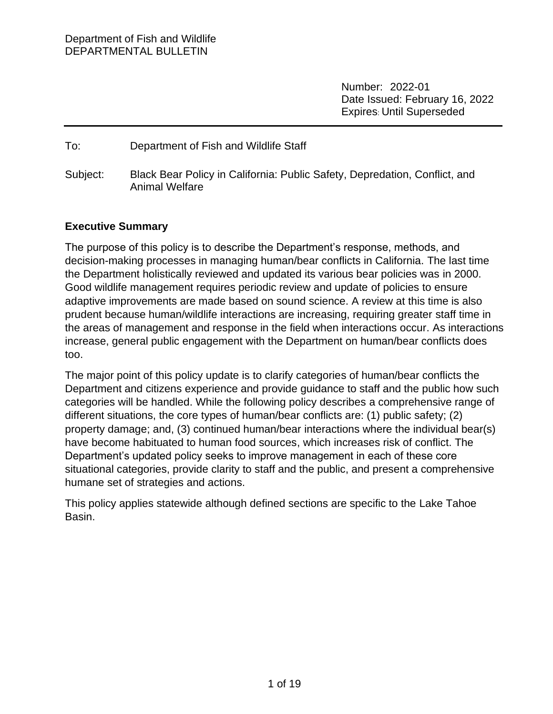Number: 2022-01 Date Issued: February 16, 2022 Expires: Until Superseded

#### To: Department of Fish and Wildlife Staff

Subject: Black Bear Policy in California: Public Safety, Depredation, Conflict, and Animal Welfare

### **Executive Summary**

The purpose of this policy is to describe the Department's response, methods, and decision-making processes in managing human/bear conflicts in California. The last time the Department holistically reviewed and updated its various bear policies was in 2000. Good wildlife management requires periodic review and update of policies to ensure adaptive improvements are made based on sound science. A review at this time is also prudent because human/wildlife interactions are increasing, requiring greater staff time in the areas of management and response in the field when interactions occur. As interactions increase, general public engagement with the Department on human/bear conflicts does too.

The major point of this policy update is to clarify categories of human/bear conflicts the Department and citizens experience and provide guidance to staff and the public how such categories will be handled. While the following policy describes a comprehensive range of different situations, the core types of human/bear conflicts are: (1) public safety; (2) property damage; and, (3) continued human/bear interactions where the individual bear(s) have become habituated to human food sources, which increases risk of conflict. The Department's updated policy seeks to improve management in each of these core situational categories, provide clarity to staff and the public, and present a comprehensive humane set of strategies and actions.

This policy applies statewide although defined sections are specific to the Lake Tahoe Basin.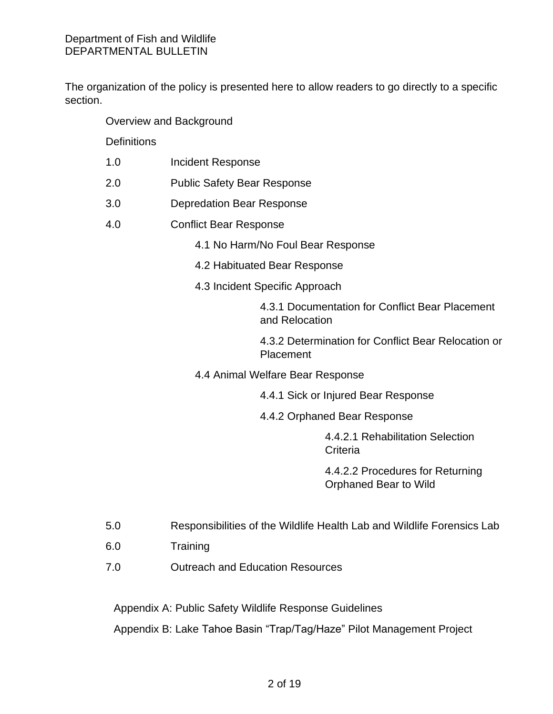The organization of the policy is presented here to allow readers to go directly to a specific section.

Overview and Background

**Definitions** 

- 1.0 Incident Response
- 2.0 Public Safety Bear Response
- 3.0 Depredation Bear Response
- 4.0 Conflict Bear Response
	- 4.1 No Harm/No Foul Bear Response
	- 4.2 Habituated Bear Response
	- 4.3 Incident Specific Approach

4.3.1 Documentation for Conflict Bear Placement and Relocation

4.3.2 Determination for Conflict Bear Relocation or Placement

4.4 Animal Welfare Bear Response

4.4.1 Sick or Injured Bear Response

4.4.2 Orphaned Bear Response

4.4.2.1 Rehabilitation Selection **Criteria** 

4.4.2.2 Procedures for Returning Orphaned Bear to Wild

- 5.0 Responsibilities of the Wildlife Health Lab and Wildlife Forensics Lab
- 6.0 Training
- 7.0 Outreach and Education Resources

Appendix A: Public Safety Wildlife Response Guidelines

Appendix B: Lake Tahoe Basin "Trap/Tag/Haze" Pilot Management Project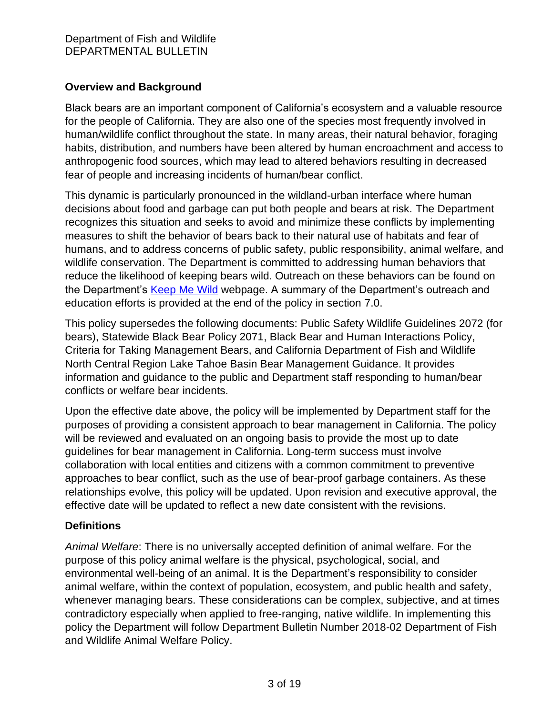## **Overview and Background**

Black bears are an important component of California's ecosystem and a valuable resource for the people of California. They are also one of the species most frequently involved in human/wildlife conflict throughout the state. In many areas, their natural behavior, foraging habits, distribution, and numbers have been altered by human encroachment and access to anthropogenic food sources, which may lead to altered behaviors resulting in decreased fear of people and increasing incidents of human/bear conflict.

This dynamic is particularly pronounced in the wildland-urban interface where human decisions about food and garbage can put both people and bears at risk. The Department recognizes this situation and seeks to avoid and minimize these conflicts by implementing measures to shift the behavior of bears back to their natural use of habitats and fear of humans, and to address concerns of public safety, public responsibility, animal welfare, and wildlife conservation. The Department is committed to addressing human behaviors that reduce the likelihood of keeping bears wild. Outreach on these behaviors can be found on the Department's [Keep Me Wild](https://wildlife.ca.gov/Keep-Me-Wild) webpage. A summary of the Department's outreach and education efforts is provided at the end of the policy in section 7.0.

This policy supersedes the following documents: Public Safety Wildlife Guidelines 2072 (for bears), Statewide Black Bear Policy 2071, Black Bear and Human Interactions Policy, Criteria for Taking Management Bears, and California Department of Fish and Wildlife North Central Region Lake Tahoe Basin Bear Management Guidance. It provides information and guidance to the public and Department staff responding to human/bear conflicts or welfare bear incidents.

Upon the effective date above, the policy will be implemented by Department staff for the purposes of providing a consistent approach to bear management in California. The policy will be reviewed and evaluated on an ongoing basis to provide the most up to date guidelines for bear management in California. Long-term success must involve collaboration with local entities and citizens with a common commitment to preventive approaches to bear conflict, such as the use of bear-proof garbage containers. As these relationships evolve, this policy will be updated. Upon revision and executive approval, the effective date will be updated to reflect a new date consistent with the revisions.

# **Definitions**

*Animal Welfare*: There is no universally accepted definition of animal welfare. For the purpose of this policy animal welfare is the physical, psychological, social, and environmental well-being of an animal. It is the Department's responsibility to consider animal welfare, within the context of population, ecosystem, and public health and safety, whenever managing bears. These considerations can be complex, subjective, and at times contradictory especially when applied to free-ranging, native wildlife. In implementing this policy the Department will follow Department Bulletin Number 2018-02 Department of Fish and Wildlife Animal Welfare Policy.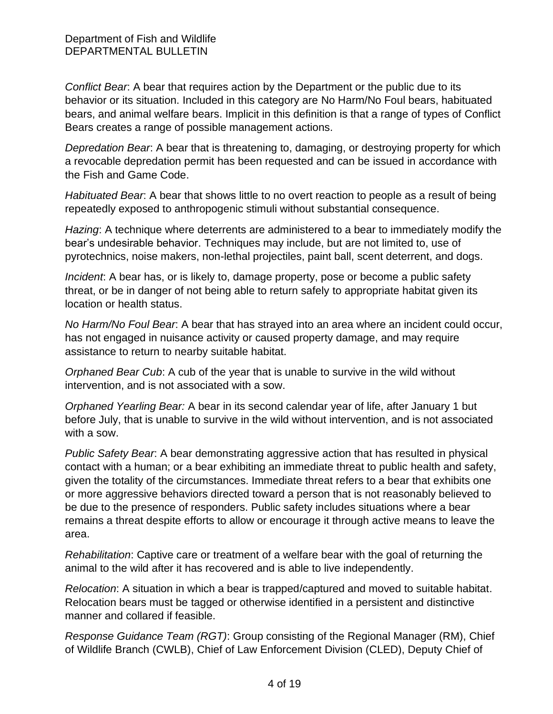*Conflict Bear*: A bear that requires action by the Department or the public due to its behavior or its situation. Included in this category are No Harm/No Foul bears, habituated bears, and animal welfare bears. Implicit in this definition is that a range of types of Conflict Bears creates a range of possible management actions.

*Depredation Bear*: A bear that is threatening to, damaging, or destroying property for which a revocable depredation permit has been requested and can be issued in accordance with the Fish and Game Code.

*Habituated Bear*: A bear that shows little to no overt reaction to people as a result of being repeatedly exposed to anthropogenic stimuli without substantial consequence.

*Hazing*: A technique where deterrents are administered to a bear to immediately modify the bear's undesirable behavior. Techniques may include, but are not limited to, use of pyrotechnics, noise makers, non-lethal projectiles, paint ball, scent deterrent, and dogs.

*Incident*: A bear has, or is likely to, damage property, pose or become a public safety threat, or be in danger of not being able to return safely to appropriate habitat given its location or health status.

*No Harm/No Foul Bear*: A bear that has strayed into an area where an incident could occur, has not engaged in nuisance activity or caused property damage, and may require assistance to return to nearby suitable habitat.

*Orphaned Bear Cub*: A cub of the year that is unable to survive in the wild without intervention, and is not associated with a sow.

*Orphaned Yearling Bear:* A bear in its second calendar year of life, after January 1 but before July, that is unable to survive in the wild without intervention, and is not associated with a sow.

*Public Safety Bear*: A bear demonstrating aggressive action that has resulted in physical contact with a human; or a bear exhibiting an immediate threat to public health and safety, given the totality of the circumstances. Immediate threat refers to a bear that exhibits one or more aggressive behaviors directed toward a person that is not reasonably believed to be due to the presence of responders. Public safety includes situations where a bear remains a threat despite efforts to allow or encourage it through active means to leave the area.

*Rehabilitation*: Captive care or treatment of a welfare bear with the goal of returning the animal to the wild after it has recovered and is able to live independently.

*Relocation*: A situation in which a bear is trapped/captured and moved to suitable habitat. Relocation bears must be tagged or otherwise identified in a persistent and distinctive manner and collared if feasible.

*Response Guidance Team (RGT)*: Group consisting of the Regional Manager (RM), Chief of Wildlife Branch (CWLB), Chief of Law Enforcement Division (CLED), Deputy Chief of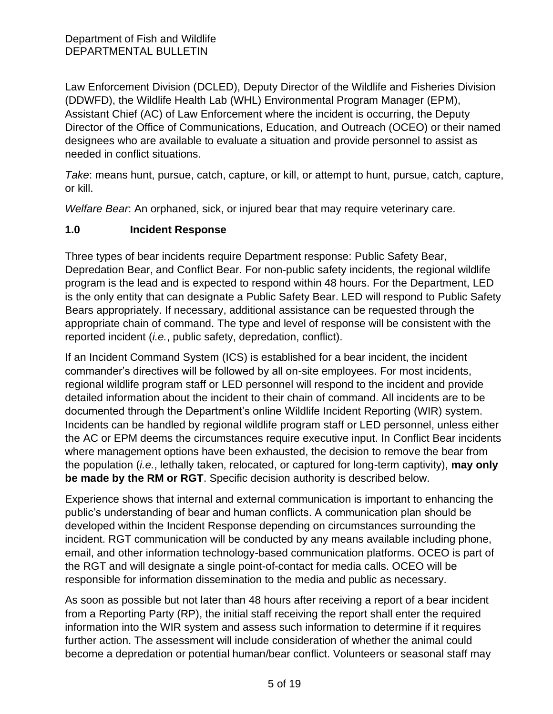Law Enforcement Division (DCLED), Deputy Director of the Wildlife and Fisheries Division (DDWFD), the Wildlife Health Lab (WHL) Environmental Program Manager (EPM), Assistant Chief (AC) of Law Enforcement where the incident is occurring, the Deputy Director of the Office of Communications, Education, and Outreach (OCEO) or their named designees who are available to evaluate a situation and provide personnel to assist as needed in conflict situations.

*Take*: means hunt, pursue, catch, capture, or kill, or attempt to hunt, pursue, catch, capture, or kill.

*Welfare Bear*: An orphaned, sick, or injured bear that may require veterinary care.

### **1.0 Incident Response**

Three types of bear incidents require Department response: Public Safety Bear, Depredation Bear, and Conflict Bear. For non-public safety incidents, the regional wildlife program is the lead and is expected to respond within 48 hours. For the Department, LED is the only entity that can designate a Public Safety Bear. LED will respond to Public Safety Bears appropriately. If necessary, additional assistance can be requested through the appropriate chain of command. The type and level of response will be consistent with the reported incident (*i.e.*, public safety, depredation, conflict).

If an Incident Command System (ICS) is established for a bear incident, the incident commander's directives will be followed by all on-site employees. For most incidents, regional wildlife program staff or LED personnel will respond to the incident and provide detailed information about the incident to their chain of command. All incidents are to be documented through the Department's online Wildlife Incident Reporting (WIR) system. Incidents can be handled by regional wildlife program staff or LED personnel, unless either the AC or EPM deems the circumstances require executive input. In Conflict Bear incidents where management options have been exhausted, the decision to remove the bear from the population (*i.e.*, lethally taken, relocated, or captured for long-term captivity), **may only be made by the RM or RGT**. Specific decision authority is described below.

Experience shows that internal and external communication is important to enhancing the public's understanding of bear and human conflicts. A communication plan should be developed within the Incident Response depending on circumstances surrounding the incident. RGT communication will be conducted by any means available including phone, email, and other information technology-based communication platforms. OCEO is part of the RGT and will designate a single point-of-contact for media calls. OCEO will be responsible for information dissemination to the media and public as necessary.

As soon as possible but not later than 48 hours after receiving a report of a bear incident from a Reporting Party (RP), the initial staff receiving the report shall enter the required information into the WIR system and assess such information to determine if it requires further action. The assessment will include consideration of whether the animal could become a depredation or potential human/bear conflict. Volunteers or seasonal staff may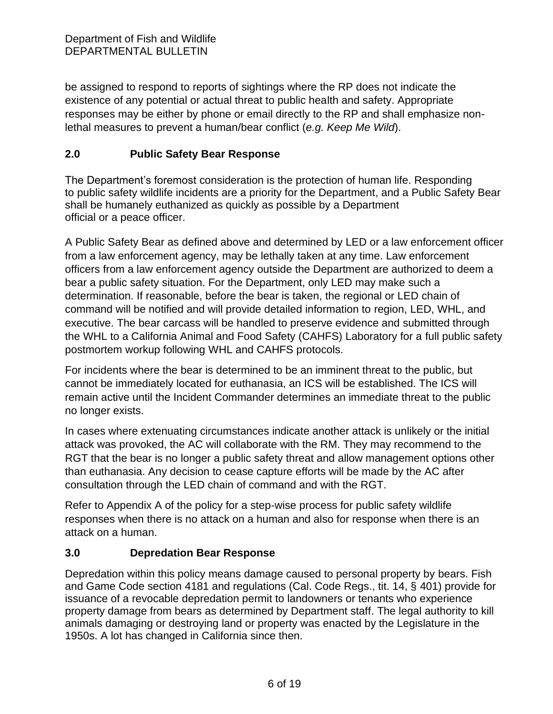be assigned to respond to reports of sightings where the RP does not indicate the existence of any potential or actual threat to public health and safety. Appropriate responses may be either by phone or email directly to the RP and shall emphasize nonlethal measures to prevent a human/bear conflict (*e.g. Keep Me Wild*).

## **2.0 Public Safety Bear Response**

The Department's foremost consideration is the protection of human life. Responding to public safety wildlife incidents are a priority for the Department, and a Public Safety Bear shall be humanely euthanized as quickly as possible by a Department official or a peace officer.

A Public Safety Bear as defined above and determined by LED or a law enforcement officer from a law enforcement agency, may be lethally taken at any time. Law enforcement officers from a law enforcement agency outside the Department are authorized to deem a bear a public safety situation. For the Department, only LED may make such a determination. If reasonable, before the bear is taken, the regional or LED chain of command will be notified and will provide detailed information to region, LED, WHL, and executive. The bear carcass will be handled to preserve evidence and submitted through the WHL to a California Animal and Food Safety (CAHFS) Laboratory for a full public safety postmortem workup following WHL and CAHFS protocols.

For incidents where the bear is determined to be an imminent threat to the public, but cannot be immediately located for euthanasia, an ICS will be established. The ICS will remain active until the Incident Commander determines an immediate threat to the public no longer exists.

In cases where extenuating circumstances indicate another attack is unlikely or the initial attack was provoked, the AC will collaborate with the RM. They may recommend to the RGT that the bear is no longer a public safety threat and allow management options other than euthanasia. Any decision to cease capture efforts will be made by the AC after consultation through the LED chain of command and with the RGT.

Refer to Appendix A of the policy for a step-wise process for public safety wildlife responses when there is no attack on a human and also for response when there is an attack on a human.

### **3.0 Depredation Bear Response**

Depredation within this policy means damage caused to personal property by bears. Fish and Game Code section 4181 and regulations (Cal. Code Regs., tit. 14, § 401) provide for issuance of a revocable depredation permit to landowners or tenants who experience property damage from bears as determined by Department staff. The legal authority to kill animals damaging or destroying land or property was enacted by the Legislature in the 1950s. A lot has changed in California since then.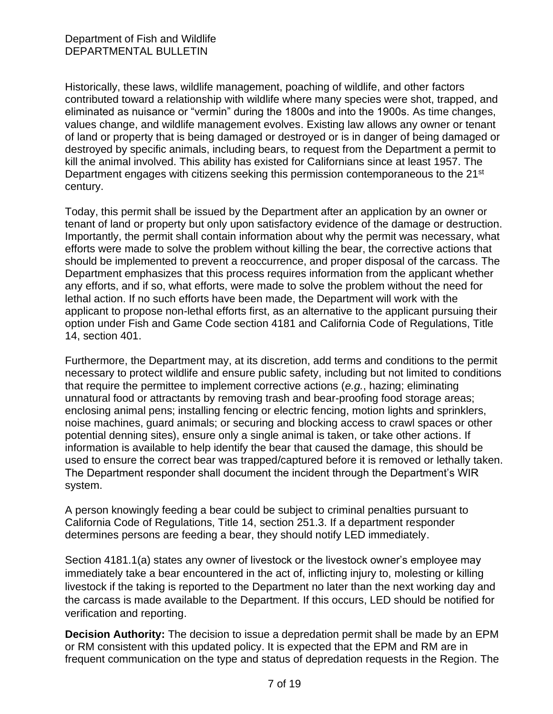Historically, these laws, wildlife management, poaching of wildlife, and other factors contributed toward a relationship with wildlife where many species were shot, trapped, and eliminated as nuisance or "vermin" during the 1800s and into the 1900s. As time changes, values change, and wildlife management evolves. Existing law allows any owner or tenant of land or property that is being damaged or destroyed or is in danger of being damaged or destroyed by specific animals, including bears, to request from the Department a permit to kill the animal involved. This ability has existed for Californians since at least 1957. The Department engages with citizens seeking this permission contemporaneous to the 21<sup>st</sup> century.

Today, this permit shall be issued by the Department after an application by an owner or tenant of land or property but only upon satisfactory evidence of the damage or destruction. Importantly, the permit shall contain information about why the permit was necessary, what efforts were made to solve the problem without killing the bear, the corrective actions that should be implemented to prevent a reoccurrence, and proper disposal of the carcass. The Department emphasizes that this process requires information from the applicant whether any efforts, and if so, what efforts, were made to solve the problem without the need for lethal action. If no such efforts have been made, the Department will work with the applicant to propose non-lethal efforts first, as an alternative to the applicant pursuing their option under Fish and Game Code section 4181 and California Code of Regulations, Title 14, section 401.

Furthermore, the Department may, at its discretion, add terms and conditions to the permit necessary to protect wildlife and ensure public safety, including but not limited to conditions that require the permittee to implement corrective actions (*e.g.*, hazing; eliminating unnatural food or attractants by removing trash and bear-proofing food storage areas; enclosing animal pens; installing fencing or electric fencing, motion lights and sprinklers, noise machines, guard animals; or securing and blocking access to crawl spaces or other potential denning sites), ensure only a single animal is taken, or take other actions. If information is available to help identify the bear that caused the damage, this should be used to ensure the correct bear was trapped/captured before it is removed or lethally taken. The Department responder shall document the incident through the Department's WIR system.

A person knowingly feeding a bear could be subject to criminal penalties pursuant to California Code of Regulations, Title 14, section 251.3. If a department responder determines persons are feeding a bear, they should notify LED immediately.

Section 4181.1(a) states any owner of livestock or the livestock owner's employee may immediately take a bear encountered in the act of, inflicting injury to, molesting or killing livestock if the taking is reported to the Department no later than the next working day and the carcass is made available to the Department. If this occurs, LED should be notified for verification and reporting.

**Decision Authority:** The decision to issue a depredation permit shall be made by an EPM or RM consistent with this updated policy. It is expected that the EPM and RM are in frequent communication on the type and status of depredation requests in the Region. The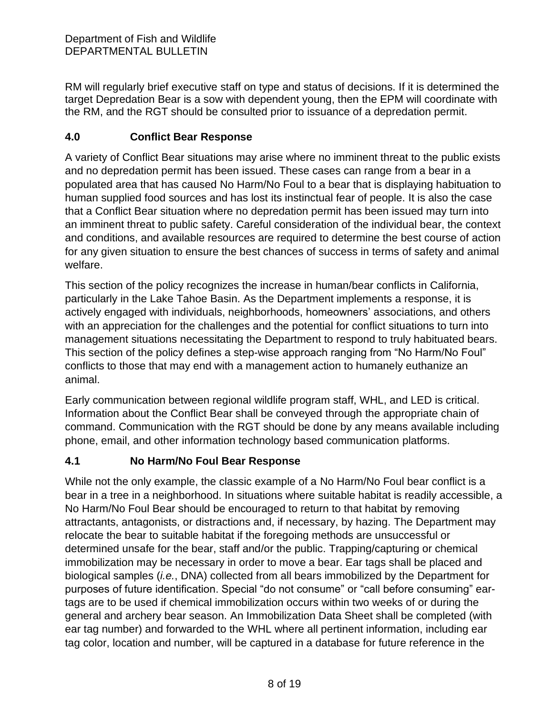RM will regularly brief executive staff on type and status of decisions. If it is determined the target Depredation Bear is a sow with dependent young, then the EPM will coordinate with the RM, and the RGT should be consulted prior to issuance of a depredation permit.

# **4.0 Conflict Bear Response**

A variety of Conflict Bear situations may arise where no imminent threat to the public exists and no depredation permit has been issued. These cases can range from a bear in a populated area that has caused No Harm/No Foul to a bear that is displaying habituation to human supplied food sources and has lost its instinctual fear of people. It is also the case that a Conflict Bear situation where no depredation permit has been issued may turn into an imminent threat to public safety. Careful consideration of the individual bear, the context and conditions, and available resources are required to determine the best course of action for any given situation to ensure the best chances of success in terms of safety and animal welfare.

This section of the policy recognizes the increase in human/bear conflicts in California, particularly in the Lake Tahoe Basin. As the Department implements a response, it is actively engaged with individuals, neighborhoods, homeowners' associations, and others with an appreciation for the challenges and the potential for conflict situations to turn into management situations necessitating the Department to respond to truly habituated bears. This section of the policy defines a step-wise approach ranging from "No Harm/No Foul" conflicts to those that may end with a management action to humanely euthanize an animal.

Early communication between regional wildlife program staff, WHL, and LED is critical. Information about the Conflict Bear shall be conveyed through the appropriate chain of command. Communication with the RGT should be done by any means available including phone, email, and other information technology based communication platforms.

# **4.1 No Harm/No Foul Bear Response**

While not the only example, the classic example of a No Harm/No Foul bear conflict is a bear in a tree in a neighborhood. In situations where suitable habitat is readily accessible, a No Harm/No Foul Bear should be encouraged to return to that habitat by removing attractants, antagonists, or distractions and, if necessary, by hazing. The Department may relocate the bear to suitable habitat if the foregoing methods are unsuccessful or determined unsafe for the bear, staff and/or the public. Trapping/capturing or chemical immobilization may be necessary in order to move a bear. Ear tags shall be placed and biological samples (*i.e.*, DNA) collected from all bears immobilized by the Department for purposes of future identification. Special "do not consume" or "call before consuming" eartags are to be used if chemical immobilization occurs within two weeks of or during the general and archery bear season. An Immobilization Data Sheet shall be completed (with ear tag number) and forwarded to the WHL where all pertinent information, including ear tag color, location and number, will be captured in a database for future reference in the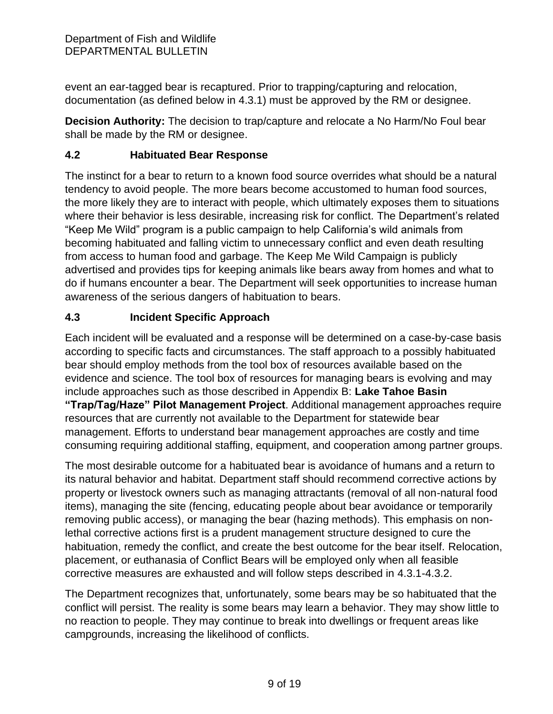event an ear-tagged bear is recaptured. Prior to trapping/capturing and relocation, documentation (as defined below in 4.3.1) must be approved by the RM or designee.

**Decision Authority:** The decision to trap/capture and relocate a No Harm/No Foul bear shall be made by the RM or designee.

## **4.2 Habituated Bear Response**

The instinct for a bear to return to a known food source overrides what should be a natural tendency to avoid people. The more bears become accustomed to human food sources, the more likely they are to interact with people, which ultimately exposes them to situations where their behavior is less desirable, increasing risk for conflict. The Department's related "Keep Me Wild" program is a public campaign to help California's wild animals from becoming habituated and falling victim to unnecessary conflict and even death resulting from access to human food and garbage. The Keep Me Wild Campaign is publicly advertised and provides tips for keeping animals like bears away from homes and what to do if humans encounter a bear. The Department will seek opportunities to increase human awareness of the serious dangers of habituation to bears.

## **4.3 Incident Specific Approach**

Each incident will be evaluated and a response will be determined on a case-by-case basis according to specific facts and circumstances. The staff approach to a possibly habituated bear should employ methods from the tool box of resources available based on the evidence and science. The tool box of resources for managing bears is evolving and may include approaches such as those described in Appendix B: **Lake Tahoe Basin "Trap/Tag/Haze" Pilot Management Project**. Additional management approaches require resources that are currently not available to the Department for statewide bear management. Efforts to understand bear management approaches are costly and time consuming requiring additional staffing, equipment, and cooperation among partner groups.

The most desirable outcome for a habituated bear is avoidance of humans and a return to its natural behavior and habitat. Department staff should recommend corrective actions by property or livestock owners such as managing attractants (removal of all non-natural food items), managing the site (fencing, educating people about bear avoidance or temporarily removing public access), or managing the bear (hazing methods). This emphasis on nonlethal corrective actions first is a prudent management structure designed to cure the habituation, remedy the conflict, and create the best outcome for the bear itself. Relocation, placement, or euthanasia of Conflict Bears will be employed only when all feasible corrective measures are exhausted and will follow steps described in 4.3.1-4.3.2.

The Department recognizes that, unfortunately, some bears may be so habituated that the conflict will persist. The reality is some bears may learn a behavior. They may show little to no reaction to people. They may continue to break into dwellings or frequent areas like campgrounds, increasing the likelihood of conflicts.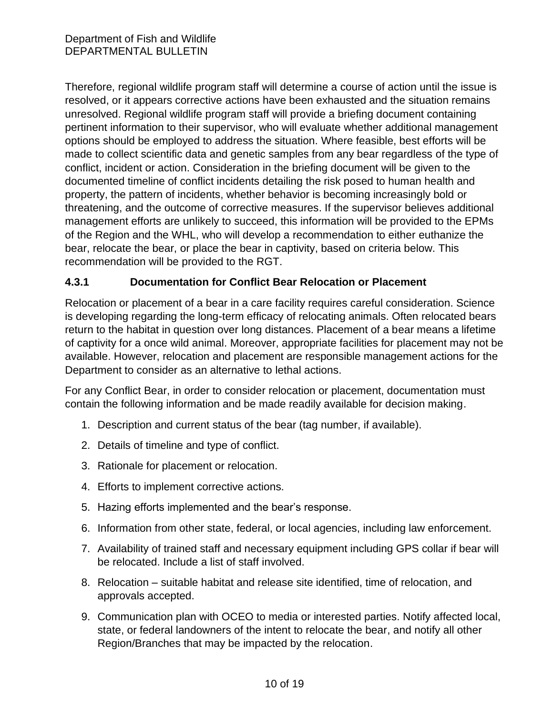Therefore, regional wildlife program staff will determine a course of action until the issue is resolved, or it appears corrective actions have been exhausted and the situation remains unresolved. Regional wildlife program staff will provide a briefing document containing pertinent information to their supervisor, who will evaluate whether additional management options should be employed to address the situation. Where feasible, best efforts will be made to collect scientific data and genetic samples from any bear regardless of the type of conflict, incident or action. Consideration in the briefing document will be given to the documented timeline of conflict incidents detailing the risk posed to human health and property, the pattern of incidents, whether behavior is becoming increasingly bold or threatening, and the outcome of corrective measures. If the supervisor believes additional management efforts are unlikely to succeed, this information will be provided to the EPMs of the Region and the WHL, who will develop a recommendation to either euthanize the bear, relocate the bear, or place the bear in captivity, based on criteria below. This recommendation will be provided to the RGT.

### **4.3.1 Documentation for Conflict Bear Relocation or Placement**

Relocation or placement of a bear in a care facility requires careful consideration. Science is developing regarding the long-term efficacy of relocating animals. Often relocated bears return to the habitat in question over long distances. Placement of a bear means a lifetime of captivity for a once wild animal. Moreover, appropriate facilities for placement may not be available. However, relocation and placement are responsible management actions for the Department to consider as an alternative to lethal actions.

For any Conflict Bear, in order to consider relocation or placement, documentation must contain the following information and be made readily available for decision making.

- 1. Description and current status of the bear (tag number, if available).
- 2. Details of timeline and type of conflict.
- 3. Rationale for placement or relocation.
- 4. Efforts to implement corrective actions.
- 5. Hazing efforts implemented and the bear's response.
- 6. Information from other state, federal, or local agencies, including law enforcement.
- 7. Availability of trained staff and necessary equipment including GPS collar if bear will be relocated. Include a list of staff involved.
- 8. Relocation suitable habitat and release site identified, time of relocation, and approvals accepted.
- 9. Communication plan with OCEO to media or interested parties. Notify affected local, state, or federal landowners of the intent to relocate the bear, and notify all other Region/Branches that may be impacted by the relocation.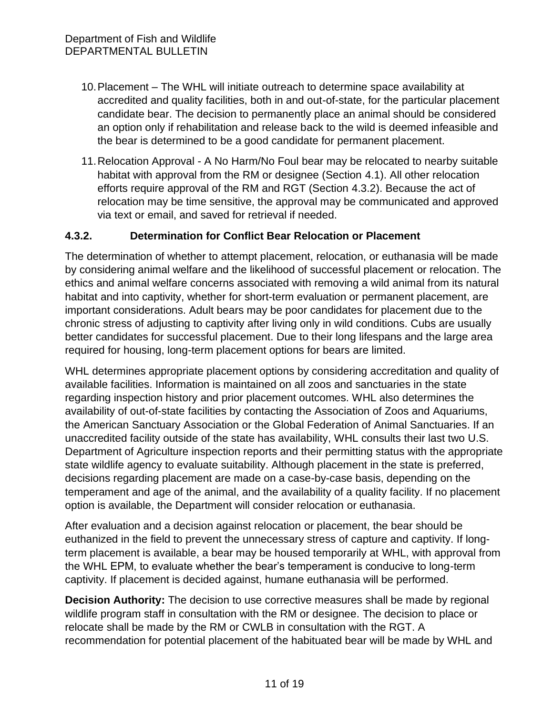- 10.Placement The WHL will initiate outreach to determine space availability at accredited and quality facilities, both in and out-of-state, for the particular placement candidate bear. The decision to permanently place an animal should be considered an option only if rehabilitation and release back to the wild is deemed infeasible and the bear is determined to be a good candidate for permanent placement.
- 11.Relocation Approval A No Harm/No Foul bear may be relocated to nearby suitable habitat with approval from the RM or designee (Section 4.1). All other relocation efforts require approval of the RM and RGT (Section 4.3.2). Because the act of relocation may be time sensitive, the approval may be communicated and approved via text or email, and saved for retrieval if needed.

### **4.3.2. Determination for Conflict Bear Relocation or Placement**

The determination of whether to attempt placement, relocation, or euthanasia will be made by considering animal welfare and the likelihood of successful placement or relocation. The ethics and animal welfare concerns associated with removing a wild animal from its natural habitat and into captivity, whether for short-term evaluation or permanent placement, are important considerations. Adult bears may be poor candidates for placement due to the chronic stress of adjusting to captivity after living only in wild conditions. Cubs are usually better candidates for successful placement. Due to their long lifespans and the large area required for housing, long-term placement options for bears are limited.

WHL determines appropriate placement options by considering accreditation and quality of available facilities. Information is maintained on all zoos and sanctuaries in the state regarding inspection history and prior placement outcomes. WHL also determines the availability of out-of-state facilities by contacting the Association of Zoos and Aquariums, the American Sanctuary Association or the Global Federation of Animal Sanctuaries. If an unaccredited facility outside of the state has availability, WHL consults their last two U.S. Department of Agriculture inspection reports and their permitting status with the appropriate state wildlife agency to evaluate suitability. Although placement in the state is preferred, decisions regarding placement are made on a case-by-case basis, depending on the temperament and age of the animal, and the availability of a quality facility. If no placement option is available, the Department will consider relocation or euthanasia.

After evaluation and a decision against relocation or placement, the bear should be euthanized in the field to prevent the unnecessary stress of capture and captivity. If longterm placement is available, a bear may be housed temporarily at WHL, with approval from the WHL EPM, to evaluate whether the bear's temperament is conducive to long-term captivity. If placement is decided against, humane euthanasia will be performed.

**Decision Authority:** The decision to use corrective measures shall be made by regional wildlife program staff in consultation with the RM or designee. The decision to place or relocate shall be made by the RM or CWLB in consultation with the RGT. A recommendation for potential placement of the habituated bear will be made by WHL and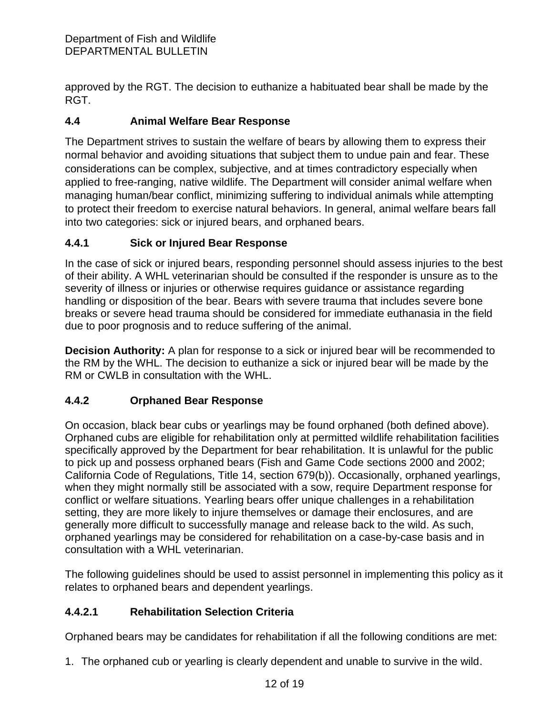approved by the RGT. The decision to euthanize a habituated bear shall be made by the RGT.

## **4.4 Animal Welfare Bear Response**

The Department strives to sustain the welfare of bears by allowing them to express their normal behavior and avoiding situations that subject them to undue pain and fear. These considerations can be complex, subjective, and at times contradictory especially when applied to free-ranging, native wildlife. The Department will consider animal welfare when managing human/bear conflict, minimizing suffering to individual animals while attempting to protect their freedom to exercise natural behaviors. In general, animal welfare bears fall into two categories: sick or injured bears, and orphaned bears.

## **4.4.1 Sick or Injured Bear Response**

In the case of sick or injured bears, responding personnel should assess injuries to the best of their ability. A WHL veterinarian should be consulted if the responder is unsure as to the severity of illness or injuries or otherwise requires guidance or assistance regarding handling or disposition of the bear. Bears with severe trauma that includes severe bone breaks or severe head trauma should be considered for immediate euthanasia in the field due to poor prognosis and to reduce suffering of the animal.

**Decision Authority:** A plan for response to a sick or injured bear will be recommended to the RM by the WHL. The decision to euthanize a sick or injured bear will be made by the RM or CWLB in consultation with the WHL.

# **4.4.2 Orphaned Bear Response**

On occasion, black bear cubs or yearlings may be found orphaned (both defined above). Orphaned cubs are eligible for rehabilitation only at permitted wildlife rehabilitation facilities specifically approved by the Department for bear rehabilitation. It is unlawful for the public to pick up and possess orphaned bears (Fish and Game Code sections 2000 and 2002; California Code of Regulations, Title 14, section 679(b)). Occasionally, orphaned yearlings, when they might normally still be associated with a sow, require Department response for conflict or welfare situations. Yearling bears offer unique challenges in a rehabilitation setting, they are more likely to injure themselves or damage their enclosures, and are generally more difficult to successfully manage and release back to the wild. As such, orphaned yearlings may be considered for rehabilitation on a case-by-case basis and in consultation with a WHL veterinarian.

The following guidelines should be used to assist personnel in implementing this policy as it relates to orphaned bears and dependent yearlings.

### **4.4.2.1 Rehabilitation Selection Criteria**

Orphaned bears may be candidates for rehabilitation if all the following conditions are met:

1. The orphaned cub or yearling is clearly dependent and unable to survive in the wild.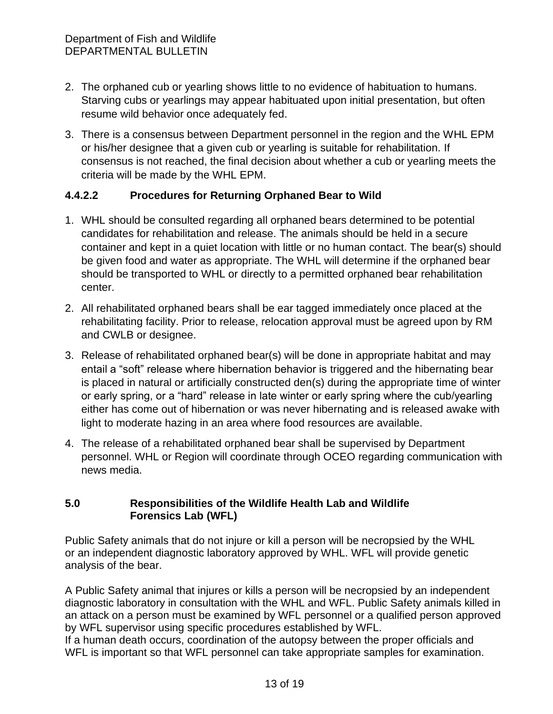- 2. The orphaned cub or yearling shows little to no evidence of habituation to humans. Starving cubs or yearlings may appear habituated upon initial presentation, but often resume wild behavior once adequately fed.
- 3. There is a consensus between Department personnel in the region and the WHL EPM or his/her designee that a given cub or yearling is suitable for rehabilitation. If consensus is not reached, the final decision about whether a cub or yearling meets the criteria will be made by the WHL EPM.

### **4.4.2.2 Procedures for Returning Orphaned Bear to Wild**

- 1. WHL should be consulted regarding all orphaned bears determined to be potential candidates for rehabilitation and release. The animals should be held in a secure container and kept in a quiet location with little or no human contact. The bear(s) should be given food and water as appropriate. The WHL will determine if the orphaned bear should be transported to WHL or directly to a permitted orphaned bear rehabilitation center.
- 2. All rehabilitated orphaned bears shall be ear tagged immediately once placed at the rehabilitating facility. Prior to release, relocation approval must be agreed upon by RM and CWLB or designee.
- 3. Release of rehabilitated orphaned bear(s) will be done in appropriate habitat and may entail a "soft" release where hibernation behavior is triggered and the hibernating bear is placed in natural or artificially constructed den(s) during the appropriate time of winter or early spring, or a "hard" release in late winter or early spring where the cub/yearling either has come out of hibernation or was never hibernating and is released awake with light to moderate hazing in an area where food resources are available.
- 4. The release of a rehabilitated orphaned bear shall be supervised by Department personnel. WHL or Region will coordinate through OCEO regarding communication with news media.

### **5.0 Responsibilities of the Wildlife Health Lab and Wildlife Forensics Lab (WFL)**

Public Safety animals that do not injure or kill a person will be necropsied by the WHL or an independent diagnostic laboratory approved by WHL. WFL will provide genetic analysis of the bear.

A Public Safety animal that injures or kills a person will be necropsied by an independent diagnostic laboratory in consultation with the WHL and WFL. Public Safety animals killed in an attack on a person must be examined by WFL personnel or a qualified person approved by WFL supervisor using specific procedures established by WFL.

If a human death occurs, coordination of the autopsy between the proper officials and WFL is important so that WFL personnel can take appropriate samples for examination.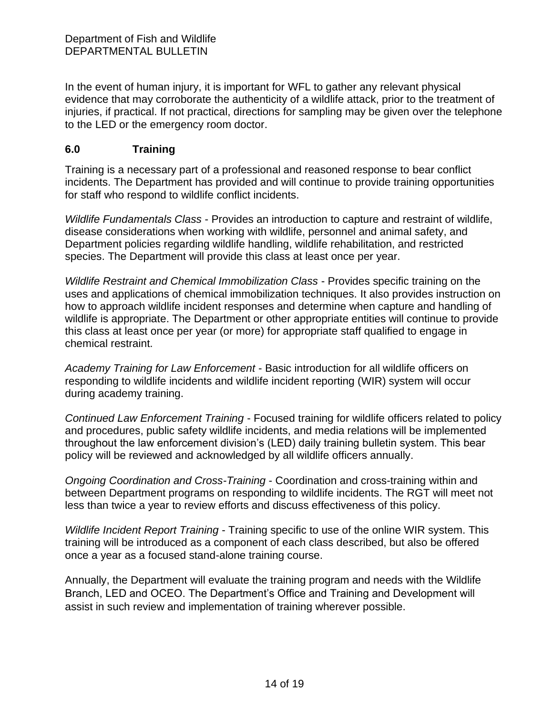In the event of human injury, it is important for WFL to gather any relevant physical evidence that may corroborate the authenticity of a wildlife attack, prior to the treatment of injuries, if practical. If not practical, directions for sampling may be given over the telephone to the LED or the emergency room doctor.

### **6.0 Training**

Training is a necessary part of a professional and reasoned response to bear conflict incidents. The Department has provided and will continue to provide training opportunities for staff who respond to wildlife conflict incidents.

*Wildlife Fundamentals Class* - Provides an introduction to capture and restraint of wildlife, disease considerations when working with wildlife, personnel and animal safety, and Department policies regarding wildlife handling, wildlife rehabilitation, and restricted species. The Department will provide this class at least once per year.

*Wildlife Restraint and Chemical Immobilization Class* - Provides specific training on the uses and applications of chemical immobilization techniques. It also provides instruction on how to approach wildlife incident responses and determine when capture and handling of wildlife is appropriate. The Department or other appropriate entities will continue to provide this class at least once per year (or more) for appropriate staff qualified to engage in chemical restraint.

*Academy Training for Law Enforcement* - Basic introduction for all wildlife officers on responding to wildlife incidents and wildlife incident reporting (WIR) system will occur during academy training.

*Continued Law Enforcement Training* - Focused training for wildlife officers related to policy and procedures, public safety wildlife incidents, and media relations will be implemented throughout the law enforcement division's (LED) daily training bulletin system. This bear policy will be reviewed and acknowledged by all wildlife officers annually.

*Ongoing Coordination and Cross-Training* - Coordination and cross-training within and between Department programs on responding to wildlife incidents. The RGT will meet not less than twice a year to review efforts and discuss effectiveness of this policy.

*Wildlife Incident Report Training* - Training specific to use of the online WIR system. This training will be introduced as a component of each class described, but also be offered once a year as a focused stand-alone training course.

Annually, the Department will evaluate the training program and needs with the Wildlife Branch, LED and OCEO. The Department's Office and Training and Development will assist in such review and implementation of training wherever possible.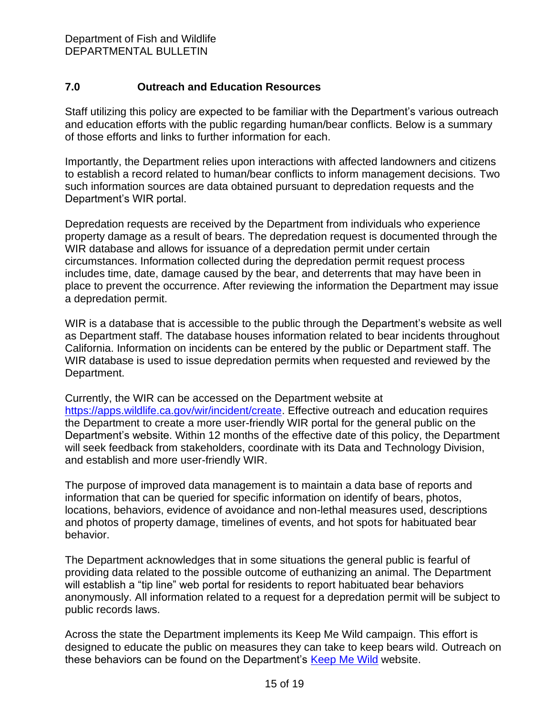## **7.0 Outreach and Education Resources**

Staff utilizing this policy are expected to be familiar with the Department's various outreach and education efforts with the public regarding human/bear conflicts. Below is a summary of those efforts and links to further information for each.

Importantly, the Department relies upon interactions with affected landowners and citizens to establish a record related to human/bear conflicts to inform management decisions. Two such information sources are data obtained pursuant to depredation requests and the Department's WIR portal.

Depredation requests are received by the Department from individuals who experience property damage as a result of bears. The depredation request is documented through the WIR database and allows for issuance of a depredation permit under certain circumstances. Information collected during the depredation permit request process includes time, date, damage caused by the bear, and deterrents that may have been in place to prevent the occurrence. After reviewing the information the Department may issue a depredation permit.

WIR is a database that is accessible to the public through the Department's website as well as Department staff. The database houses information related to bear incidents throughout California. Information on incidents can be entered by the public or Department staff. The WIR database is used to issue depredation permits when requested and reviewed by the Department.

Currently, the WIR can be accessed on the Department website at [https://apps.wildlife.ca.gov/wir/incident/create.](https://apps.wildlife.ca.gov/wir/incident/create) Effective outreach and education requires the Department to create a more user-friendly WIR portal for the general public on the Department's website. Within 12 months of the effective date of this policy, the Department will seek feedback from stakeholders, coordinate with its Data and Technology Division, and establish and more user-friendly WIR.

The purpose of improved data management is to maintain a data base of reports and information that can be queried for specific information on identify of bears, photos, locations, behaviors, evidence of avoidance and non-lethal measures used, descriptions and photos of property damage, timelines of events, and hot spots for habituated bear behavior.

The Department acknowledges that in some situations the general public is fearful of providing data related to the possible outcome of euthanizing an animal. The Department will establish a "tip line" web portal for residents to report habituated bear behaviors anonymously. All information related to a request for a depredation permit will be subject to public records laws.

Across the state the Department implements its Keep Me Wild campaign. This effort is designed to educate the public on measures they can take to keep bears wild. Outreach on these behaviors can be found on the Department's [Keep Me Wild](https://wildlife.ca.gov/Keep-Me-Wild) website.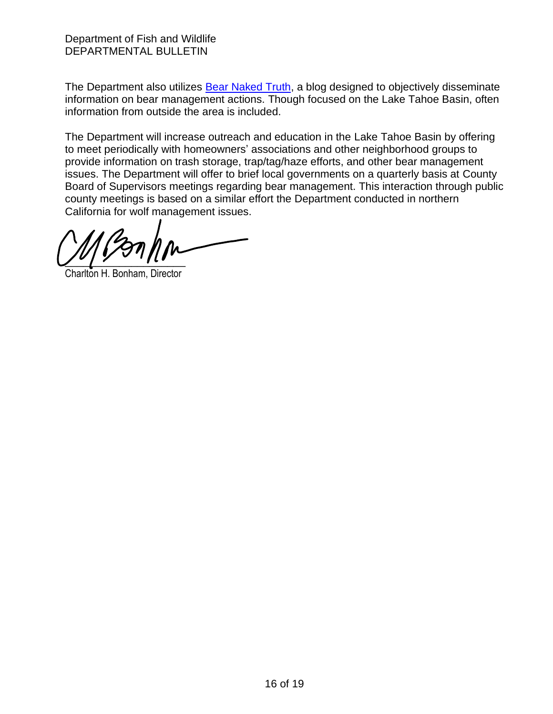The Department also utilizes [Bear Naked Truth,](https://wildlife.ca.gov/Conservation/Mammals/Black-Bear/Blog) a blog designed to objectively disseminate information on bear management actions. Though focused on the Lake Tahoe Basin, often information from outside the area is included.

The Department will increase outreach and education in the Lake Tahoe Basin by offering to meet periodically with homeowners' associations and other neighborhood groups to provide information on trash storage, trap/tag/haze efforts, and other bear management issues. The Department will offer to brief local governments on a quarterly basis at County Board of Supervisors meetings regarding bear management. This interaction through public county meetings is based on a similar effort the Department conducted in northern California for wolf management issues.

 $\frac{1}{2}$ 

Charlton H. Bonham, Director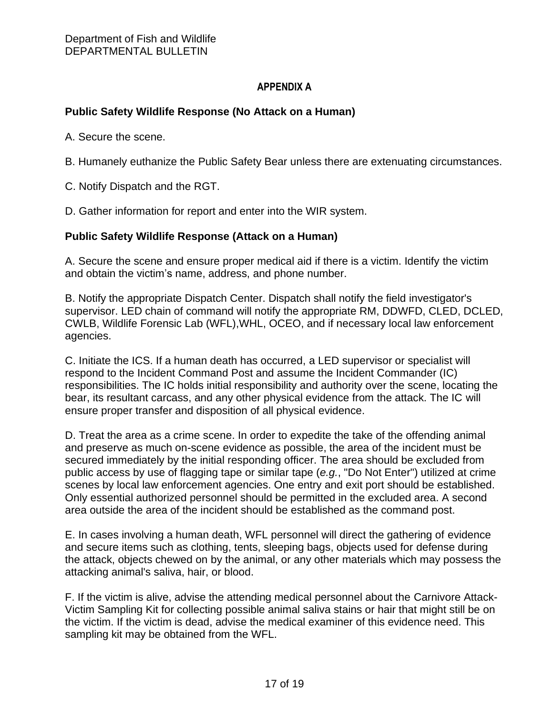#### **APPENDIX A**

### **Public Safety Wildlife Response (No Attack on a Human)**

A. Secure the scene.

B. Humanely euthanize the Public Safety Bear unless there are extenuating circumstances.

C. Notify Dispatch and the RGT.

D. Gather information for report and enter into the WIR system.

#### **Public Safety Wildlife Response (Attack on a Human)**

A. Secure the scene and ensure proper medical aid if there is a victim. Identify the victim and obtain the victim's name, address, and phone number.

B. Notify the appropriate Dispatch Center. Dispatch shall notify the field investigator's supervisor. LED chain of command will notify the appropriate RM, DDWFD, CLED, DCLED, CWLB, Wildlife Forensic Lab (WFL),WHL, OCEO, and if necessary local law enforcement agencies.

C. Initiate the ICS. If a human death has occurred, a LED supervisor or specialist will respond to the Incident Command Post and assume the Incident Commander (IC) responsibilities. The IC holds initial responsibility and authority over the scene, locating the bear, its resultant carcass, and any other physical evidence from the attack. The IC will ensure proper transfer and disposition of all physical evidence.

D. Treat the area as a crime scene. In order to expedite the take of the offending animal and preserve as much on-scene evidence as possible, the area of the incident must be secured immediately by the initial responding officer. The area should be excluded from public access by use of flagging tape or similar tape (*e.g.*, "Do Not Enter") utilized at crime scenes by local law enforcement agencies. One entry and exit port should be established. Only essential authorized personnel should be permitted in the excluded area. A second area outside the area of the incident should be established as the command post.

E. In cases involving a human death, WFL personnel will direct the gathering of evidence and secure items such as clothing, tents, sleeping bags, objects used for defense during the attack, objects chewed on by the animal, or any other materials which may possess the attacking animal's saliva, hair, or blood.

F. If the victim is alive, advise the attending medical personnel about the Carnivore Attack-Victim Sampling Kit for collecting possible animal saliva stains or hair that might still be on the victim. If the victim is dead, advise the medical examiner of this evidence need. This sampling kit may be obtained from the WFL.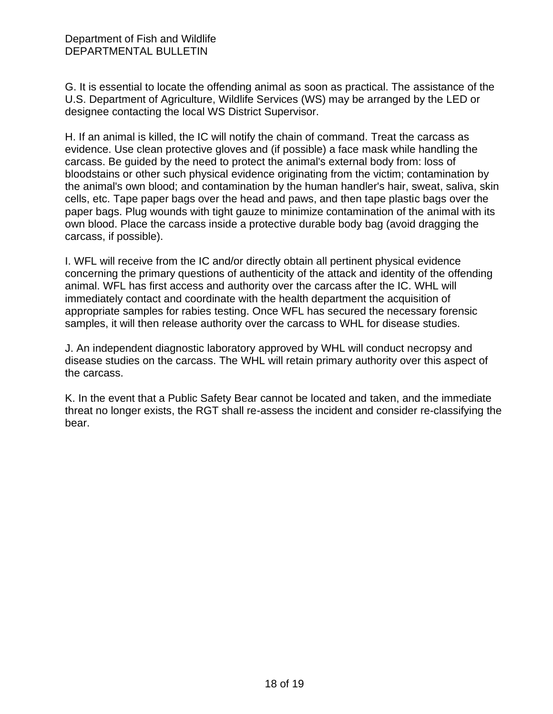G. It is essential to locate the offending animal as soon as practical. The assistance of the U.S. Department of Agriculture, Wildlife Services (WS) may be arranged by the LED or designee contacting the local WS District Supervisor.

H. If an animal is killed, the IC will notify the chain of command. Treat the carcass as evidence. Use clean protective gloves and (if possible) a face mask while handling the carcass. Be guided by the need to protect the animal's external body from: loss of bloodstains or other such physical evidence originating from the victim; contamination by the animal's own blood; and contamination by the human handler's hair, sweat, saliva, skin cells, etc. Tape paper bags over the head and paws, and then tape plastic bags over the paper bags. Plug wounds with tight gauze to minimize contamination of the animal with its own blood. Place the carcass inside a protective durable body bag (avoid dragging the carcass, if possible).

I. WFL will receive from the IC and/or directly obtain all pertinent physical evidence concerning the primary questions of authenticity of the attack and identity of the offending animal. WFL has first access and authority over the carcass after the IC. WHL will immediately contact and coordinate with the health department the acquisition of appropriate samples for rabies testing. Once WFL has secured the necessary forensic samples, it will then release authority over the carcass to WHL for disease studies.

J. An independent diagnostic laboratory approved by WHL will conduct necropsy and disease studies on the carcass. The WHL will retain primary authority over this aspect of the carcass.

K. In the event that a Public Safety Bear cannot be located and taken, and the immediate threat no longer exists, the RGT shall re-assess the incident and consider re-classifying the bear.